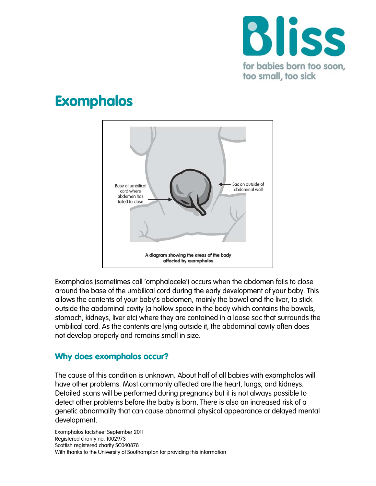

# **Exomphalos**



Exomphalos (sometimes call 'omphalocele') occurs when the abdomen fails to close around the base of the umbilical cord during the early development of your baby. This allows the contents of your baby's abdomen, mainly the bowel and the liver, to stick outside the abdominal cavity (a hollow space in the body which contains the bowels, stomach, kidneys, liver etc) where they are contained in a loose sac that surrounds the umbilical cord. As the contents are lying outside it, the abdominal cavity often does not develop properly and remains small in size.

## Why does exomphalos occur?

The cause of this condition is unknown. About half of all babies with exomphalos will have other problems. Most commonly affected are the heart, lungs, and kidneys. Detailed scans will be performed during pregnancy but it is not always possible to detect other problems before the baby is born. There is also an increased risk of a genetic abnormality that can cause abnormal physical appearance or delayed mental development.

Exomphalos factsheet September 2011 Registered charity no. 1002973 Scottish registered charity SC040878 With thanks to the University of Southampton for providing this information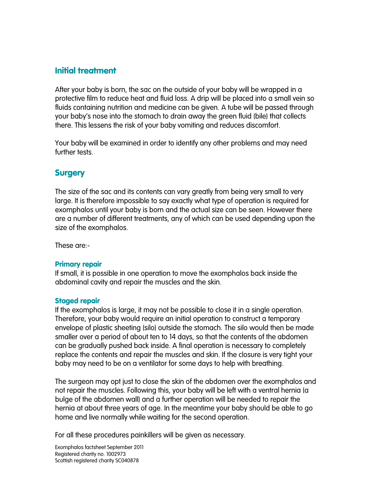## Initial treatment

After your baby is born, the sac on the outside of your baby will be wrapped in a protective film to reduce heat and fluid loss. A drip will be placed into a small vein so fluids containing nutrition and medicine can be given. A tube will be passed through your baby's nose into the stomach to drain away the green fluid (bile) that collects there. This lessens the risk of your baby vomiting and reduces discomfort.

Your baby will be examined in order to identify any other problems and may need further tests.

# **Surgery**

The size of the sac and its contents can vary greatly from being very small to very large. It is therefore impossible to say exactly what type of operation is required for exomphalos until your baby is born and the actual size can be seen. However there are a number of different treatments, any of which can be used depending upon the size of the exomphalos.

These are:-

#### Primary repair

If small, it is possible in one operation to move the exomphalos back inside the abdominal cavity and repair the muscles and the skin.

#### Staged repair

If the exomphalos is large, it may not be possible to close it in a single operation. Therefore, your baby would require an initial operation to construct a temporary envelope of plastic sheeting (silo) outside the stomach. The silo would then be made smaller over a period of about ten to 14 days, so that the contents of the abdomen can be gradually pushed back inside. A final operation is necessary to completely replace the contents and repair the muscles and skin. If the closure is very tight your baby may need to be on a ventilator for some days to help with breathing.

The surgeon may opt just to close the skin of the abdomen over the exomphalos and not repair the muscles. Following this, your baby will be left with a ventral hernia (a bulge of the abdomen wall) and a further operation will be needed to repair the hernia at about three years of age. In the meantime your baby should be able to go home and live normally while waiting for the second operation.

For all these procedures painkillers will be given as necessary.